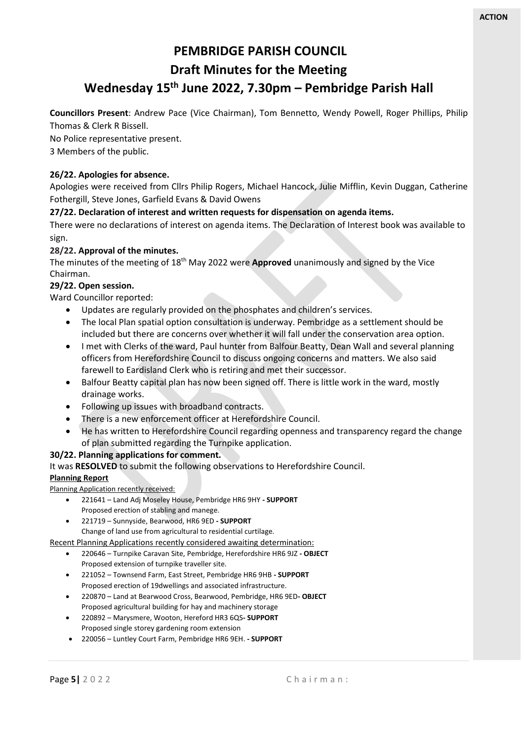# **PEMBRIDGE PARISH COUNCIL**

# **Draft Minutes for the Meeting**

# **Wednesday 15th June 2022, 7.30pm – Pembridge Parish Hall**

**Councillors Present**: Andrew Pace (Vice Chairman), Tom Bennetto, Wendy Powell, Roger Phillips, Philip Thomas & Clerk R Bissell.

No Police representative present.

# 3 Members of the public.

# **26/22. Apologies for absence.**

Apologies were received from Cllrs Philip Rogers, Michael Hancock, Julie Mifflin, Kevin Duggan, Catherine Fothergill, Steve Jones, Garfield Evans & David Owens

# **27/22. Declaration of interest and written requests for dispensation on agenda items.**

There were no declarations of interest on agenda items. The Declaration of Interest book was available to sign.

# **28/22. Approval of the minutes.**

The minutes of the meeting of 18<sup>th</sup> May 2022 were **Approved** unanimously and signed by the Vice Chairman.

## **29/22. Open session.**

Ward Councillor reported:

- Updates are regularly provided on the phosphates and children's services.
- The local Plan spatial option consultation is underway. Pembridge as a settlement should be included but there are concerns over whether it will fall under the conservation area option.
- I met with Clerks of the ward, Paul hunter from Balfour Beatty, Dean Wall and several planning officers from Herefordshire Council to discuss ongoing concerns and matters. We also said farewell to Eardisland Clerk who is retiring and met their successor.
- Balfour Beatty capital plan has now been signed off. There is little work in the ward, mostly drainage works.
- Following up issues with broadband contracts.
- There is a new enforcement officer at Herefordshire Council.
- He has written to Herefordshire Council regarding openness and transparency regard the change of plan submitted regarding the Turnpike application.

## **30/22. Planning applications for comment.**

It was **RESOLVED** to submit the following observations to Herefordshire Council.

## **Planning Report**

Planning Application recently received:

- 221641 Land Adj Moseley House, Pembridge HR6 9HY **- SUPPORT** Proposed erection of stabling and manege.
- 221719 Sunnyside, Bearwood, HR6 9ED **- SUPPORT** Change of land use from agricultural to residential curtilage.

Recent Planning Applications recently considered awaiting determination:

- 220646 Turnpike Caravan Site, Pembridge, Herefordshire HR6 9JZ **- OBJECT** Proposed extension of turnpike traveller site.
- 221052 Townsend Farm, East Street, Pembridge HR6 9HB **- SUPPORT** Proposed erection of 19dwellings and associated infrastructure.
- 220870 Land at Bearwood Cross, Bearwood, Pembridge, HR6 9ED**- OBJECT** Proposed agricultural building for hay and machinery storage
- 220892 Marysmere, Wooton, Hereford HR3 6QS**- SUPPORT** Proposed single storey gardening room extension
- 220056 Luntley Court Farm, Pembridge HR6 9EH. **- SUPPORT**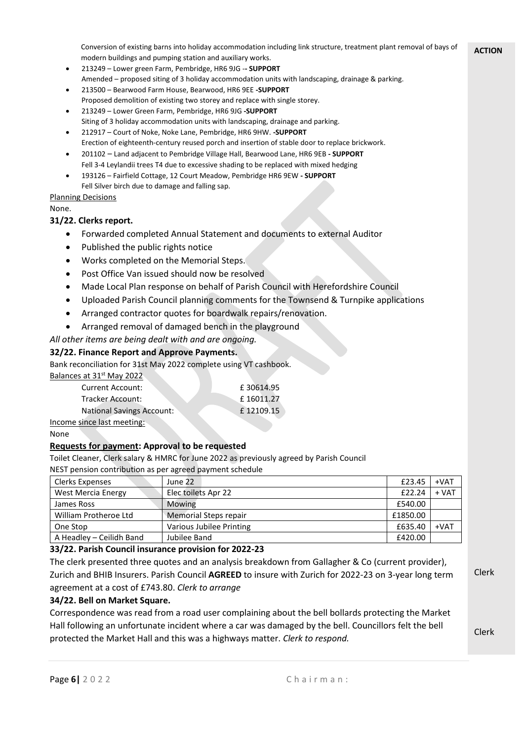**ACTION** Conversion of existing barns into holiday accommodation including link structure, treatment plant removal of bays of modern buildings and pumping station and auxiliary works.

- 213249 Lower green Farm, Pembridge, HR6 9JG -**- SUPPORT** Amended – proposed siting of 3 holiday accommodation units with landscaping, drainage & parking.
- 213500 Bearwood Farm House, Bearwood, HR6 9EE **-SUPPORT** Proposed demolition of existing two storey and replace with single storey.
- 213249 Lower Green Farm, Pembridge, HR6 9JG **-SUPPORT** Siting of 3 holiday accommodation units with landscaping, drainage and parking.
- 212917 Court of Noke, Noke Lane, Pembridge, HR6 9HW. **-SUPPORT** Erection of eighteenth-century reused porch and insertion of stable door to replace brickwork.
- 201102 Land adjacent to Pembridge Village Hall, Bearwood Lane, HR6 9EB **- SUPPORT** Fell 3-4 Leylandii trees T4 due to excessive shading to be replaced with mixed hedging
- 193126 Fairfield Cottage, 12 Court Meadow, Pembridge HR6 9EW **- SUPPORT** Fell Silver birch due to damage and falling sap.

## Planning Decisions

None.

## **31/22. Clerks report.**

- Forwarded completed Annual Statement and documents to external Auditor
- Published the public rights notice
- Works completed on the Memorial Steps.
- Post Office Van issued should now be resolved
- Made Local Plan response on behalf of Parish Council with Herefordshire Council
- Uploaded Parish Council planning comments for the Townsend & Turnpike applications
- Arranged contractor quotes for boardwalk repairs/renovation.
- Arranged removal of damaged bench in the playground

## *All other items are being dealt with and are ongoing.*

## **32/22. Finance Report and Approve Payments.**

Bank reconciliation for 31st May 2022 complete using VT cashbook.

Balances at 31<sup>st</sup> May 2022

| <b>Current Account:</b>    | £30614.95 |
|----------------------------|-----------|
| Tracker Account:           | £16011.27 |
| National Savings Account:  | £12109.15 |
| Income since last meeting: |           |

#### None

## **Requests for payment: Approval to be requested**

Toilet Cleaner, Clerk salary & HMRC for June 2022 as previously agreed by Parish Council

NEST pension contribution as per agreed payment schedule

| <b>Clerks Expenses</b>    | June 22                      | £23.45   | $+VAT$  |
|---------------------------|------------------------------|----------|---------|
| <b>West Mercia Energy</b> | Elec toilets Apr 22          | £22.24   | $+ VAT$ |
| James Ross                | Mowing                       | £540.00  |         |
| William Protheroe Ltd     | <b>Memorial Steps repair</b> | £1850.00 |         |
| One Stop                  | Various Jubilee Printing     | £635.40  | $+VAT$  |
| A Headley - Ceilidh Band  | Jubilee Band                 | £420.00  |         |

## **33/22. Parish Council insurance provision for 2022-23**

The clerk presented three quotes and an analysis breakdown from Gallagher & Co (current provider), Zurich and BHIB Insurers. Parish Council **AGREED** to insure with Zurich for 2022-23 on 3-year long term agreement at a cost of £743.80. *Clerk to arrange*

## **34/22. Bell on Market Square.**

Correspondence was read from a road user complaining about the bell bollards protecting the Market Hall following an unfortunate incident where a car was damaged by the bell. Councillors felt the bell protected the Market Hall and this was a highways matter. *Clerk to respond.*

Clerk

Clerk